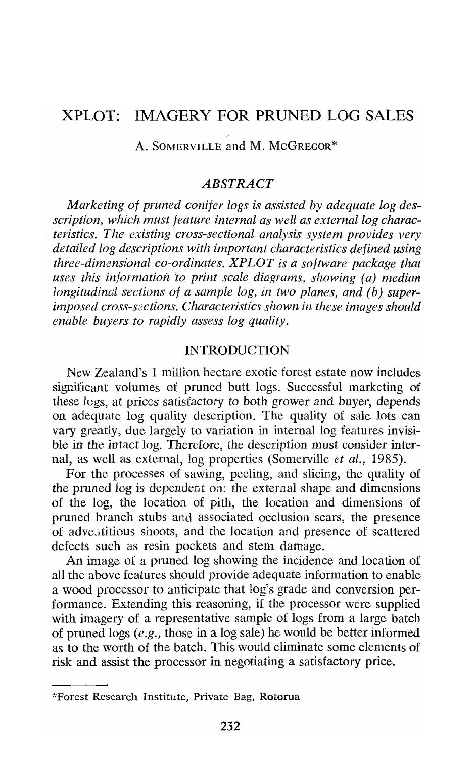# XPLOT: IMAGERY FOR PRUNED LOG **SALES**

A. SOMERVILLE and M. MCGREGOR\*

#### *ABSTRACT*

*Marketing of pruned conifer logs is assisted by adequate log desscription, which must feature internal as well as external log characteristics. The existing cross-sectional analysis system provides very detailed log descriptions with important characteristics defined using three-dimensional co-ordinates. XPLOT is a software package that uses this information 'to print scale diagrams, showing (a) median longitudinal sections of a sample log, in two planes, and (b) superimposed cross-szctions. Characteristics shown in these images should enable buyers to rapidly assess log quality.* 

## INTRODUCTION

Ncw Zealand's 1 million hectare exotic forest estate now includes significant volumes of pruned butt logs. Successful marketing of these logs, at prices satisfactory to both grower and buyer, depends on adequate log quality description. The quality of sale lots can vary gneatly, due largely to variation in internal log features invisible in the intact log. Therefore, the description must consider internal, as well as external, log properties (Somerville *et al.,* 1985).

For the processes of sawing, peeling, and slicing, the quality of the pruned log is dependent on: the external shape and dimensions of the log, the location of pith, the location and dimensions of pruned branch stubs and associated occlusion scars, the presence of adve<sub>ritious</sub> shoots, and the location and presence of scattered defects such as resin pockets and stem damage.

An image of a pruned log showing the incidence and location of all the above features should provide adequate information to enable a wood processor to anticipate that log's grade and conversion performance. Extending this reasoning, if the processor were supplied with imagery of a representative sample of logs from a large batch of pruned logs *(e.g.,* those in a log sale) he would be better informed as to the worth of the batch. This would eliminate some elements of risk and assist the processor in negotiating a satisfactory price.

<sup>&</sup>quot;Forest Research Institute, Private Bag, Rotoma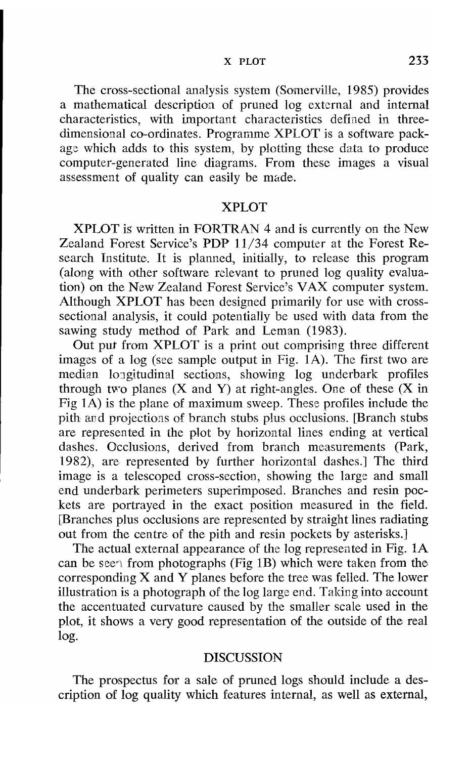The cross-sectional analysis system (Somerville, 1985) provides a mathematical description of pruned log external and internal characteristics, with important characteristics defiaed in threedimensional co-ordinates. Programme XPLOT is a software packags which adds to this system, by plotting these data to produce computer-generated line diagrams. From these images a visual assessment of quality can easily be made.

## XPLOT

XPLOT is written in FORTRAN 4 and is currently on the New Zealand Forest Service's PDP 11/34 computer at the Forest Research Institute. It is planned, initially, to release this program (along with other software rclevant to pruned log quality evaluation) on the New Zealand Forest Service's VAX computer system. Although XPLOT has been designed primarily for use with crosssectional analysis, it could potentially be used with data from the sawing study method of Park and Leman (1983).

Out put from XPLOT is a print out comprising three different images of a log (see sample output in Fig. 1A). The first two are median longitudinal sections, showing log underbark profiles through two planes  $(X \text{ and } Y)$  at right-angles. One of these  $(X \text{ in } Y)$ Fig  $1\overline{A}$ ) is the plane of maximum sweep. These profiles include the pith ard projections of branch stubs plus occlusions. [Branch stubs are represented in the plot by horizontal lines ending at vertical dashes. Occlusions, derived from branch measurements (Park, 1982), are represented by further horizontal dashes.] The third image is a telescoped cross-section, showing the large and small end underbark perimeters superimposed. Branches and resin pockets are portrayed in the exact position measured in the field. [Branches plus occlusions are represented by straight lines radiating out from the centre of the pith and resin pockets by asterisks.]

The actual external appearance of the log represented in Fig. 1A can be seen from photographs (Fig 1B) which were taken from the corresponding X and Y planes before the tree was felled. The lower illustration is a photograph of the log large end. Taking into account the accentuated curvature caused by the smaller scale used in the plot, it shows a very good representation of the outside of the real log.

## DISCUSSION

The prospectus for a sale of pruned logs should include a description of log quality which features internal, as well as external,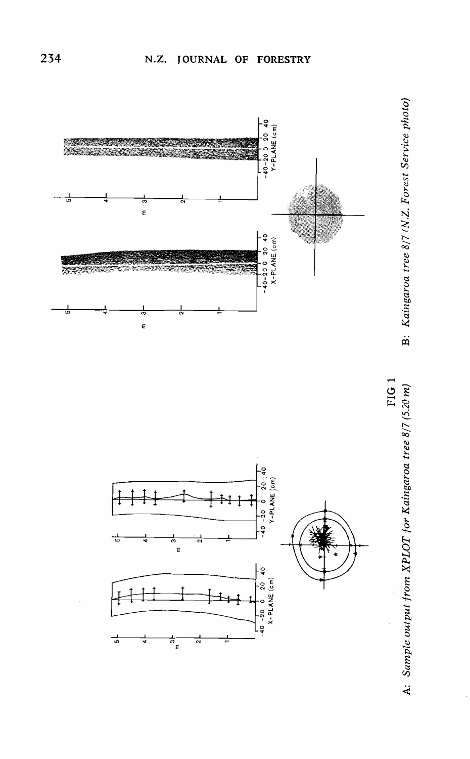

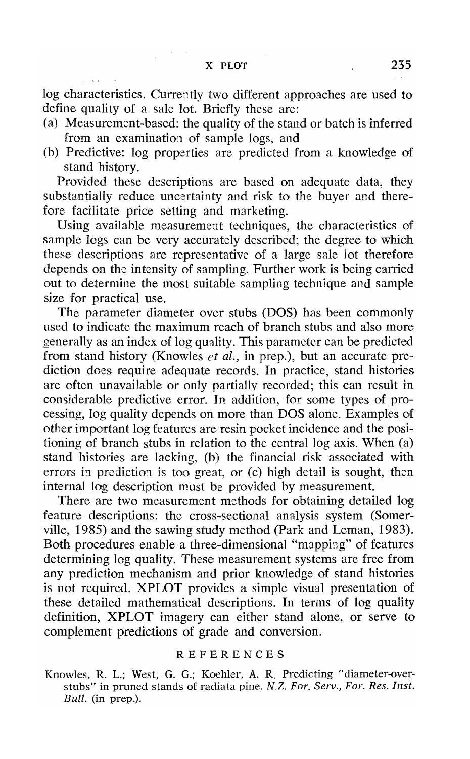log characteristics. Currently two different approaches are used to define quality of a sale lot. Briefly these are:

- (a) Measurement-based: the quality of the stand or batch is inferred from an examination of sample logs, and
- (b) Predictive: log properties are predicted from a knowledge of stand history.

Provided these descriptions are based on adequate data, they substantially reduce uncertainty and risk to the buyer and therefore facilitate price setting and marketing.

Using available measurement techniques, the characteristics of sample logs can be very accurately described; the degree to which these descriptions are representative of a large sale lot therefore depends on the intensity of sampling. Further work is being carried out to determine the most suitable sampling technique and sample size for practical use.

Thc parameter diameter over stubs (DOS) has been commonly used to indicate the maximum reach of branch stubs and also) more generally as an index of log quality. This parameter can be predicted from stand history (Knowles *et* al., in prep.), but an accurate prediction does require adequate records, In practice, stand histories are often unavailable or only partially rccorded; this can result in considerable predictive error. In addition, for some types of pro. cessing, log quality depends on more than DOS alone. Examples of othcr important log features are resin pocket incidence and the positioning of branch stubs in relation to the central log axis. When  $(a)$ stand histories are lacking, (b) the financial risk associated with errors in prediction is too great, or  $(c)$  high detail is sought, then internal log description must be provided by measurement.

There are two measurement methods for obtaining detailed log feature descriptions: the cross-sectional analysis system (Somerville, 1985) and the sawing study method (Park and Leman, 1983). Both procedures enable a three-dimensional "mapping" of features determining log quality. These measurement systems are free from any prediction mechanism and prior knowledge of stand histories is not required. XPLOT provides a simple visual presentation of these detailed mathematical descriptions. In terms of log quality definition, XPLOT imagery can either stand alone, or serve to complement predictions of grade and conversion.

#### REFERENCES

Knowlcs, R. L.; West, G. G.; Koehler, **A.** R. Predicting "diameter-overstubs" in pruned stands of radiaia pine. N.Z. *For. Serv., For. Res. Inst. Bull.* (in prep.).